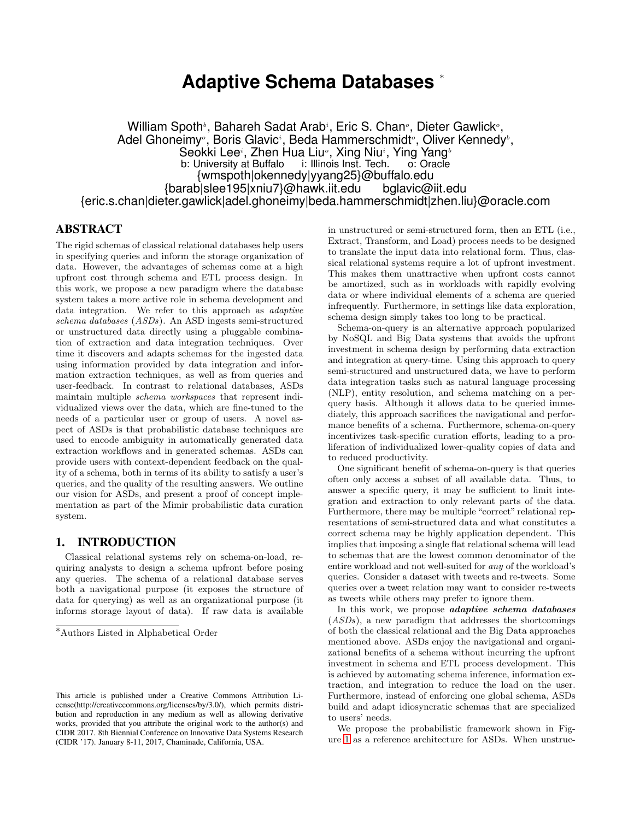# **Adaptive Schema Databases** <sup>∗</sup>

William Spoth<sup>,</sup>, Bahareh Sadat Arab<sup>,</sup>, Eric S. Chan<sup>,</sup>, Dieter Gawlick<sup>,</sup>, Adel Ghoneimy<sup>,</sup>, Boris Glavic<sup>,</sup>, Beda Hammerschmidt<sup>,</sup>, Oliver Kennedy<sup>,</sup>, Seokki Lee $^{\scriptscriptstyle i}$ , Zhen Hua Liu $^{\scriptscriptstyle o}$ , Xing Niu $^{\scriptscriptstyle i}$ , Ying Yang $^{\scriptscriptstyle b}$ b: University at Buffalo i: Illinois Inst. Tech. o: Oracle {wmspoth|okennedy|yyang25}@buffalo.edu {barab|slee195|xniu7}@hawk.iit.edu bglavic@iit.edu {eric.s.chan|dieter.gawlick|adel.ghoneimy|beda.hammerschmidt|zhen.liu}@oracle.com

# ABSTRACT

The rigid schemas of classical relational databases help users in specifying queries and inform the storage organization of data. However, the advantages of schemas come at a high upfront cost through schema and ETL process design. In this work, we propose a new paradigm where the database system takes a more active role in schema development and data integration. We refer to this approach as adaptive schema databases (ASDs). An ASD ingests semi-structured or unstructured data directly using a pluggable combination of extraction and data integration techniques. Over time it discovers and adapts schemas for the ingested data using information provided by data integration and information extraction techniques, as well as from queries and user-feedback. In contrast to relational databases, ASDs maintain multiple schema workspaces that represent individualized views over the data, which are fine-tuned to the needs of a particular user or group of users. A novel aspect of ASDs is that probabilistic database techniques are used to encode ambiguity in automatically generated data extraction workflows and in generated schemas. ASDs can provide users with context-dependent feedback on the quality of a schema, both in terms of its ability to satisfy a user's queries, and the quality of the resulting answers. We outline our vision for ASDs, and present a proof of concept implementation as part of the Mimir probabilistic data curation system.

## 1. INTRODUCTION

Classical relational systems rely on schema-on-load, requiring analysts to design a schema upfront before posing any queries. The schema of a relational database serves both a navigational purpose (it exposes the structure of data for querying) as well as an organizational purpose (it informs storage layout of data). If raw data is available

in unstructured or semi-structured form, then an ETL (i.e., Extract, Transform, and Load) process needs to be designed to translate the input data into relational form. Thus, classical relational systems require a lot of upfront investment. This makes them unattractive when upfront costs cannot be amortized, such as in workloads with rapidly evolving data or where individual elements of a schema are queried infrequently. Furthermore, in settings like data exploration, schema design simply takes too long to be practical.

Schema-on-query is an alternative approach popularized by NoSQL and Big Data systems that avoids the upfront investment in schema design by performing data extraction and integration at query-time. Using this approach to query semi-structured and unstructured data, we have to perform data integration tasks such as natural language processing (NLP), entity resolution, and schema matching on a perquery basis. Although it allows data to be queried immediately, this approach sacrifices the navigational and performance benefits of a schema. Furthermore, schema-on-query incentivizes task-specific curation efforts, leading to a proliferation of individualized lower-quality copies of data and to reduced productivity.

One significant benefit of schema-on-query is that queries often only access a subset of all available data. Thus, to answer a specific query, it may be sufficient to limit integration and extraction to only relevant parts of the data. Furthermore, there may be multiple "correct" relational representations of semi-structured data and what constitutes a correct schema may be highly application dependent. This implies that imposing a single flat relational schema will lead to schemas that are the lowest common denominator of the entire workload and not well-suited for any of the workload's queries. Consider a dataset with tweets and re-tweets. Some queries over a tweet relation may want to consider re-tweets as tweets while others may prefer to ignore them.

In this work, we propose *adaptive schema databases* (ASDs), a new paradigm that addresses the shortcomings of both the classical relational and the Big Data approaches mentioned above. ASDs enjoy the navigational and organizational benefits of a schema without incurring the upfront investment in schema and ETL process development. This is achieved by automating schema inference, information extraction, and integration to reduce the load on the user. Furthermore, instead of enforcing one global schema, ASDs build and adapt idiosyncratic schemas that are specialized to users' needs.

We propose the probabilistic framework shown in Figure [1](#page-1-0) as a reference architecture for ASDs. When unstruc-

<sup>∗</sup>Authors Listed in Alphabetical Order

This article is published under a Creative Commons Attribution License(http://creativecommons.org/licenses/by/3.0/), which permits distribution and reproduction in any medium as well as allowing derivative works, provided that you attribute the original work to the author(s) and CIDR 2017. 8th Biennial Conference on Innovative Data Systems Research (CIDR '17). January 8-11, 2017, Chaminade, California, USA.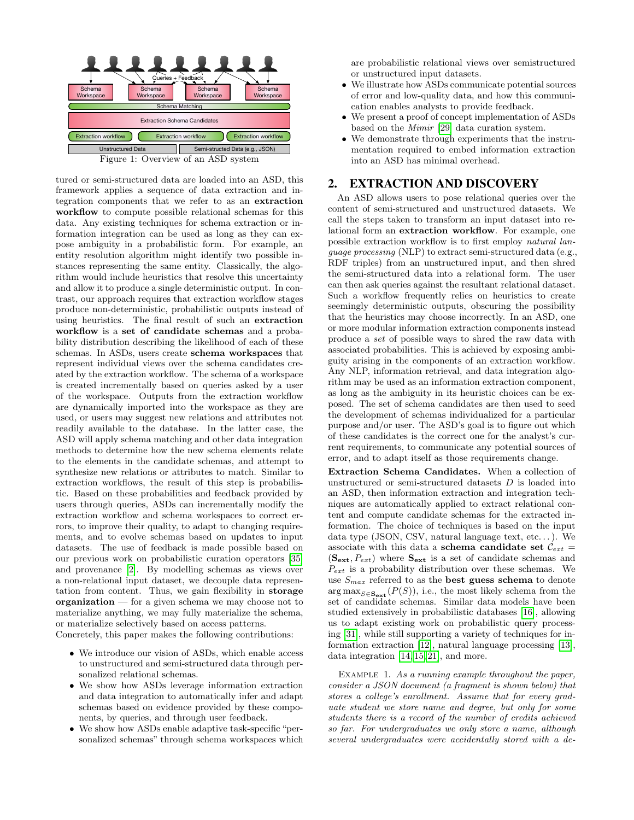<span id="page-1-0"></span>

tured or semi-structured data are loaded into an ASD, this framework applies a sequence of data extraction and integration components that we refer to as an extraction workflow to compute possible relational schemas for this data. Any existing techniques for schema extraction or information integration can be used as long as they can expose ambiguity in a probabilistic form. For example, an entity resolution algorithm might identify two possible instances representing the same entity. Classically, the algorithm would include heuristics that resolve this uncertainty and allow it to produce a single deterministic output. In contrast, our approach requires that extraction workflow stages produce non-deterministic, probabilistic outputs instead of using heuristics. The final result of such an extraction workflow is a set of candidate schemas and a probability distribution describing the likelihood of each of these schemas. In ASDs, users create schema workspaces that represent individual views over the schema candidates created by the extraction workflow. The schema of a workspace is created incrementally based on queries asked by a user of the workspace. Outputs from the extraction workflow are dynamically imported into the workspace as they are used, or users may suggest new relations and attributes not readily available to the database. In the latter case, the ASD will apply schema matching and other data integration methods to determine how the new schema elements relate to the elements in the candidate schemas, and attempt to synthesize new relations or attributes to match. Similar to extraction workflows, the result of this step is probabilistic. Based on these probabilities and feedback provided by users through queries, ASDs can incrementally modify the extraction workflow and schema workspaces to correct errors, to improve their quality, to adapt to changing requirements, and to evolve schemas based on updates to input datasets. The use of feedback is made possible based on our previous work on probabilistic curation operators [\[35\]](#page-8-0) and provenance [\[2\]](#page-7-0). By modelling schemas as views over a non-relational input dataset, we decouple data representation from content. Thus, we gain flexibility in storage organization  $-$  for a given schema we may choose not to materialize anything, we may fully materialize the schema, or materialize selectively based on access patterns.

Concretely, this paper makes the following contributions:

- We introduce our vision of ASDs, which enable access to unstructured and semi-structured data through personalized relational schemas.
- We show how ASDs leverage information extraction and data integration to automatically infer and adapt schemas based on evidence provided by these components, by queries, and through user feedback.
- We show how ASDs enable adaptive task-specific "personalized schemas" through schema workspaces which

are probabilistic relational views over semistructured or unstructured input datasets.

- We illustrate how ASDs communicate potential sources of error and low-quality data, and how this communication enables analysts to provide feedback.
- We present a proof of concept implementation of ASDs based on the Mimir [\[29\]](#page-8-1) data curation system.
- We demonstrate through experiments that the instrumentation required to embed information extraction into an ASD has minimal overhead.

# <span id="page-1-1"></span>2. EXTRACTION AND DISCOVERY

An ASD allows users to pose relational queries over the content of semi-structured and unstructured datasets. We call the steps taken to transform an input dataset into relational form an extraction workflow. For example, one possible extraction workflow is to first employ natural language processing (NLP) to extract semi-structured data (e.g., RDF triples) from an unstructured input, and then shred the semi-structured data into a relational form. The user can then ask queries against the resultant relational dataset. Such a workflow frequently relies on heuristics to create seemingly deterministic outputs, obscuring the possibility that the heuristics may choose incorrectly. In an ASD, one or more modular information extraction components instead produce a set of possible ways to shred the raw data with associated probabilities. This is achieved by exposing ambiguity arising in the components of an extraction workflow. Any NLP, information retrieval, and data integration algorithm may be used as an information extraction component, as long as the ambiguity in its heuristic choices can be exposed. The set of schema candidates are then used to seed the development of schemas individualized for a particular purpose and/or user. The ASD's goal is to figure out which of these candidates is the correct one for the analyst's current requirements, to communicate any potential sources of error, and to adapt itself as those requirements change.

Extraction Schema Candidates. When a collection of unstructured or semi-structured datasets D is loaded into an ASD, then information extraction and integration techniques are automatically applied to extract relational content and compute candidate schemas for the extracted information. The choice of techniques is based on the input data type (JSON, CSV, natural language text, etc. . . ). We associate with this data a schema candidate set  $\mathcal{C}_{ext}$  =  $(\mathbf{S}_{ext}, P_{ext})$  where  $\mathbf{S}_{ext}$  is a set of candidate schemas and  $P_{ext}$  is a probability distribution over these schemas. We use  $S_{max}$  referred to as the **best guess schema** to denote  $\arg \max_{S \in \mathbf{S}_{\text{ext}}} (P(S))$ , i.e., the most likely schema from the set of candidate schemas. Similar data models have been studied extensively in probabilistic databases [\[16\]](#page-7-1), allowing us to adapt existing work on probabilistic query processing [\[31\]](#page-8-2), while still supporting a variety of techniques for information extraction [\[12\]](#page-7-2), natural language processing [\[13\]](#page-7-3), data integration [\[14,](#page-7-4) [15,](#page-7-5) [21\]](#page-8-3), and more.

EXAMPLE 1. As a running example throughout the paper, consider a JSON document (a fragment is shown below) that stores a college's enrollment. Assume that for every graduate student we store name and degree, but only for some students there is a record of the number of credits achieved so far. For undergraduates we only store a name, although several undergraduates were accidentally stored with a de-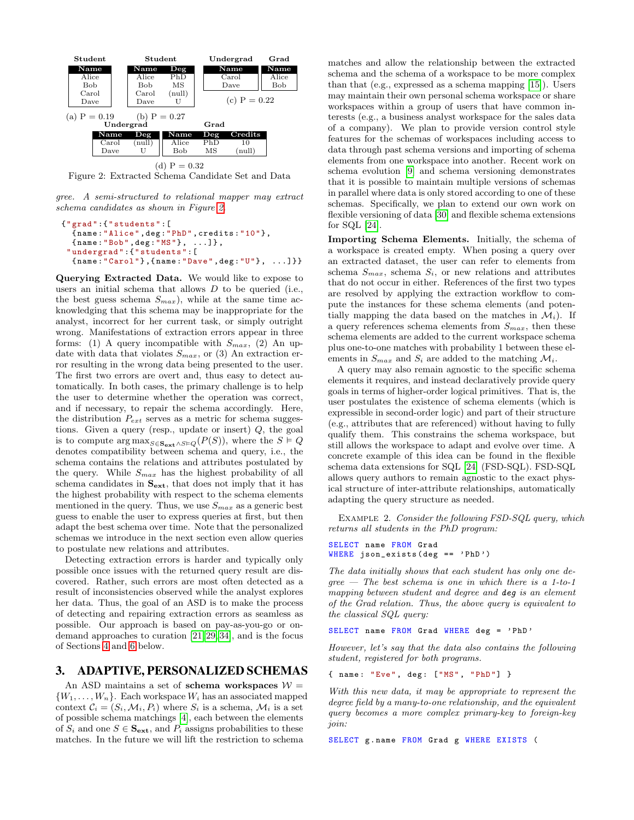<span id="page-2-0"></span>

Figure 2: Extracted Schema Candidate Set and Data

gree. A semi-structured to relational mapper may extract schema candidates as shown in Figure [2.](#page-2-0)

```
{" grad ":{" students ":[
  { name :" Alice ", deg :" PhD ", credits :"10"},
  { name :" Bob", deg :"MS"}, ...]} ,
 " undergrad ":{" students ":[
  { name :" Carol "} ,{ name :" Dave ", deg :"U"}, ...]}}
```
Querying Extracted Data. We would like to expose to users an initial schema that allows  $D$  to be queried (i.e., the best guess schema  $S_{max}$ , while at the same time acknowledging that this schema may be inappropriate for the analyst, incorrect for her current task, or simply outright wrong. Manifestations of extraction errors appear in three forms: (1) A query incompatible with  $S_{max}$ , (2) An update with data that violates  $S_{max}$ , or (3) An extraction error resulting in the wrong data being presented to the user. The first two errors are overt and, thus easy to detect automatically. In both cases, the primary challenge is to help the user to determine whether the operation was correct, and if necessary, to repair the schema accordingly. Here, the distribution  $P_{ext}$  serves as a metric for schema suggestions. Given a query (resp., update or insert) Q, the goal is to compute  $\arg \max_{S \in \mathbf{S_{ext}} \wedge S \models Q} (P(S))$ , where the  $S \models Q$  denotes compatibility between schema and query, i.e., the schema contains the relations and attributes postulated by the query. While  $S_{max}$  has the highest probability of all schema candidates in  $S_{ext}$ , that does not imply that it has the highest probability with respect to the schema elements mentioned in the query. Thus, we use  $S_{max}$  as a generic best guess to enable the user to express queries at first, but then adapt the best schema over time. Note that the personalized schemas we introduce in the next section even allow queries to postulate new relations and attributes.

Detecting extraction errors is harder and typically only possible once issues with the returned query result are discovered. Rather, such errors are most often detected as a result of inconsistencies observed while the analyst explores her data. Thus, the goal of an ASD is to make the process of detecting and repairing extraction errors as seamless as possible. Our approach is based on pay-as-you-go or ondemand approaches to curation [\[21,](#page-8-3) [29,](#page-8-1) [34\]](#page-8-4), and is the focus of Sections [4](#page-3-0) and [6](#page-5-0) below.

# 3. ADAPTIVE, PERSONALIZED SCHEMAS

An ASD maintains a set of schema workspaces  $W =$  $\{W_1, \ldots, W_n\}$ . Each workspace  $W_i$  has an associated mapped context  $\mathcal{C}_i = (S_i, \mathcal{M}_i, P_i)$  where  $S_i$  is a schema,  $\mathcal{M}_i$  is a set of possible schema matchings [\[4\]](#page-7-6), each between the elements of  $S_i$  and one  $S \in \mathbf{S}_{ext}$ , and  $P_i$  assigns probabilities to these matches. In the future we will lift the restriction to schema

matches and allow the relationship between the extracted schema and the schema of a workspace to be more complex than that (e.g., expressed as a schema mapping [\[15\]](#page-7-5)). Users may maintain their own personal schema workspace or share workspaces within a group of users that have common interests (e.g., a business analyst workspace for the sales data of a company). We plan to provide version control style features for the schemas of workspaces including access to data through past schema versions and importing of schema elements from one workspace into another. Recent work on schema evolution [\[9\]](#page-7-7) and schema versioning demonstrates that it is possible to maintain multiple versions of schemas in parallel where data is only stored according to one of these schemas. Specifically, we plan to extend our own work on flexible versioning of data [\[30\]](#page-8-5) and flexible schema extensions for SQL [\[24\]](#page-8-6).

Importing Schema Elements. Initially, the schema of a workspace is created empty. When posing a query over an extracted dataset, the user can refer to elements from schema  $S_{max}$ , schema  $S_i$ , or new relations and attributes that do not occur in either. References of the first two types are resolved by applying the extraction workflow to compute the instances for these schema elements (and potentially mapping the data based on the matches in  $\mathcal{M}_i$ ). If a query references schema elements from  $S_{max}$ , then these schema elements are added to the current workspace schema plus one-to-one matches with probability 1 between these elements in  $S_{max}$  and  $S_i$  are added to the matching  $\mathcal{M}_i$ .

A query may also remain agnostic to the specific schema elements it requires, and instead declaratively provide query goals in terms of higher-order logical primitives. That is, the user postulates the existence of schema elements (which is expressible in second-order logic) and part of their structure (e.g., attributes that are referenced) without having to fully qualify them. This constrains the schema workspace, but still allows the workspace to adapt and evolve over time. A concrete example of this idea can be found in the flexible schema data extensions for SQL [\[24\]](#page-8-6) (FSD-SQL). FSD-SQL allows query authors to remain agnostic to the exact physical structure of inter-attribute relationships, automatically adapting the query structure as needed.

Example 2. Consider the following FSD-SQL query, which returns all students in the PhD program:

```
SELECT name FROM Grad
WHERE json\_exists ( deg == ' PhD')
```
The data initially shows that each student has only one de $gree$  – The best schema is one in which there is a 1-to-1 mapping between student and degree and deg is an element of the Grad relation. Thus, the above query is equivalent to the classical SQL query:

SELECT name FROM Grad WHERE deg = ' PhD '

However, let's say that the data also contains the following student, registered for both programs.

{ name: "Eve", deg: ["MS", "PhD"] }

With this new data, it may be appropriate to represent the degree field by a many-to-one relationship, and the equivalent query becomes a more complex primary-key to foreign-key join:

SELECT g. name FROM Grad g WHERE EXISTS (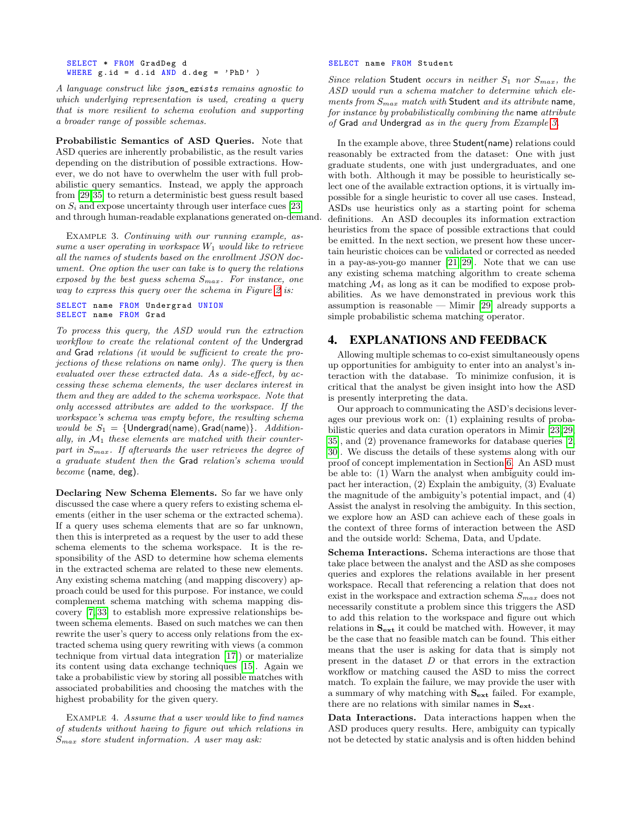SELECT \* FROM GradDeg d WHERE  $g$ . id = d. id  $AND$  d. deg = 'PhD' )

A language construct like json\_exists remains agnostic to which underlying representation is used, creating a query that is more resilient to schema evolution and supporting a broader range of possible schemas.

Probabilistic Semantics of ASD Queries. Note that ASD queries are inherently probabilistic, as the result varies depending on the distribution of possible extractions. However, we do not have to overwhelm the user with full probabilistic query semantics. Instead, we apply the approach from [\[29,](#page-8-1)[35\]](#page-8-0) to return a deterministic best guess result based on  $S_i$  and expose uncertainty through user interface cues [\[23\]](#page-8-7) and through human-readable explanations generated on-demand.

<span id="page-3-1"></span>EXAMPLE 3. Continuing with our running example, assume a user operating in workspace  $W_1$  would like to retrieve all the names of students based on the enrollment JSON document. One option the user can take is to query the relations exposed by the best guess schema  $S_{max}$ . For instance, one way to express this query over the schema in Figure [2](#page-2-0) is:

#### SELECT name FROM Undergrad UNION SELECT name FROM Grad

To process this query, the ASD would run the extraction workflow to create the relational content of the Undergrad and Grad relations (it would be sufficient to create the projections of these relations on name only). The query is then evaluated over these extracted data. As a side-effect, by accessing these schema elements, the user declares interest in them and they are added to the schema workspace. Note that only accessed attributes are added to the workspace. If the workspace's schema was empty before, the resulting schema would be  $S_1 = \{$ Undergrad(name), Grad(name) $\}$ . Additionally, in  $\mathcal{M}_1$  these elements are matched with their counterpart in  $S_{max}$ . If afterwards the user retrieves the degree of a graduate student then the Grad relation's schema would become (name, deg).

Declaring New Schema Elements. So far we have only discussed the case where a query refers to existing schema elements (either in the user schema or the extracted schema). If a query uses schema elements that are so far unknown, then this is interpreted as a request by the user to add these schema elements to the schema workspace. It is the responsibility of the ASD to determine how schema elements in the extracted schema are related to these new elements. Any existing schema matching (and mapping discovery) approach could be used for this purpose. For instance, we could complement schema matching with schema mapping discovery [\[7,](#page-7-8) [33\]](#page-8-8) to establish more expressive relationships between schema elements. Based on such matches we can then rewrite the user's query to access only relations from the extracted schema using query rewriting with views (a common technique from virtual data integration [\[17\]](#page-8-9)) or materialize its content using data exchange techniques [\[15\]](#page-7-5). Again we take a probabilistic view by storing all possible matches with associated probabilities and choosing the matches with the highest probability for the given query.

<span id="page-3-2"></span>Example 4. Assume that a user would like to find names of students without having to figure out which relations in  $S_{max}$  store student information. A user may ask:

#### SELECT name FROM Student

Since relation Student occurs in neither  $S_1$  nor  $S_{max}$ , the ASD would run a schema matcher to determine which elements from  $S_{max}$  match with Student and its attribute name, for instance by probabilistically combining the name attribute of Grad and Undergrad as in the query from Example [3.](#page-3-1)

In the example above, three Student(name) relations could reasonably be extracted from the dataset: One with just graduate students, one with just undergraduates, and one with both. Although it may be possible to heuristically select one of the available extraction options, it is virtually impossible for a single heuristic to cover all use cases. Instead, ASDs use heuristics only as a starting point for schema definitions. An ASD decouples its information extraction heuristics from the space of possible extractions that could be emitted. In the next section, we present how these uncertain heuristic choices can be validated or corrected as needed in a pay-as-you-go manner [\[21,](#page-8-3) [29\]](#page-8-1). Note that we can use any existing schema matching algorithm to create schema matching  $\mathcal{M}_i$  as long as it can be modified to expose probabilities. As we have demonstrated in previous work this assumption is reasonable — Mimir [\[29\]](#page-8-1) already supports a simple probabilistic schema matching operator.

# <span id="page-3-0"></span>4. EXPLANATIONS AND FEEDBACK

Allowing multiple schemas to co-exist simultaneously opens up opportunities for ambiguity to enter into an analyst's interaction with the database. To minimize confusion, it is critical that the analyst be given insight into how the ASD is presently interpreting the data.

Our approach to communicating the ASD's decisions leverages our previous work on: (1) explaining results of probabilistic queries and data curation operators in Mimir [\[23,](#page-8-7)[29,](#page-8-1) [35\]](#page-8-0), and (2) provenance frameworks for database queries [\[2,](#page-7-0) [30\]](#page-8-5). We discuss the details of these systems along with our proof of concept implementation in Section [6.](#page-5-0) An ASD must be able to: (1) Warn the analyst when ambiguity could impact her interaction, (2) Explain the ambiguity, (3) Evaluate the magnitude of the ambiguity's potential impact, and (4) Assist the analyst in resolving the ambiguity. In this section, we explore how an ASD can achieve each of these goals in the context of three forms of interaction between the ASD and the outside world: Schema, Data, and Update.

Schema Interactions. Schema interactions are those that take place between the analyst and the ASD as she composes queries and explores the relations available in her present workspace. Recall that referencing a relation that does not exist in the workspace and extraction schema  $S_{max}$  does not necessarily constitute a problem since this triggers the ASD to add this relation to the workspace and figure out which relations in  $S_{ext}$  it could be matched with. However, it may be the case that no feasible match can be found. This either means that the user is asking for data that is simply not present in the dataset D or that errors in the extraction workflow or matching caused the ASD to miss the correct match. To explain the failure, we may provide the user with a summary of why matching with  $S_{ext}$  failed. For example, there are no relations with similar names in  $S_{ext}$ .

Data Interactions. Data interactions happen when the ASD produces query results. Here, ambiguity can typically not be detected by static analysis and is often hidden behind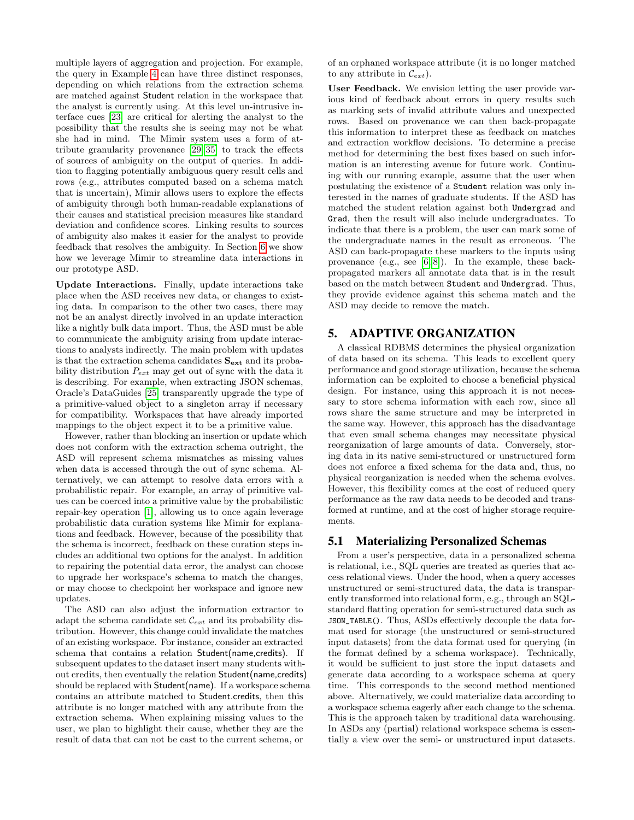multiple layers of aggregation and projection. For example, the query in Example [4](#page-3-2) can have three distinct responses, depending on which relations from the extraction schema are matched against Student relation in the workspace that the analyst is currently using. At this level un-intrusive interface cues [\[23\]](#page-8-7) are critical for alerting the analyst to the possibility that the results she is seeing may not be what she had in mind. The Mimir system uses a form of attribute granularity provenance [\[29,](#page-8-1) [35\]](#page-8-0) to track the effects of sources of ambiguity on the output of queries. In addition to flagging potentially ambiguous query result cells and rows (e.g., attributes computed based on a schema match that is uncertain), Mimir allows users to explore the effects of ambiguity through both human-readable explanations of their causes and statistical precision measures like standard deviation and confidence scores. Linking results to sources of ambiguity also makes it easier for the analyst to provide feedback that resolves the ambiguity. In Section [6](#page-5-0) we show how we leverage Mimir to streamline data interactions in our prototype ASD.

Update Interactions. Finally, update interactions take place when the ASD receives new data, or changes to existing data. In comparison to the other two cases, there may not be an analyst directly involved in an update interaction like a nightly bulk data import. Thus, the ASD must be able to communicate the ambiguity arising from update interactions to analysts indirectly. The main problem with updates is that the extraction schema candidates  $\mathbf{S_{ext}}$  and its probability distribution  $P_{ext}$  may get out of sync with the data it is describing. For example, when extracting JSON schemas, Oracle's DataGuides [\[25\]](#page-8-10) transparently upgrade the type of a primitive-valued object to a singleton array if necessary for compatibility. Workspaces that have already imported mappings to the object expect it to be a primitive value.

However, rather than blocking an insertion or update which does not conform with the extraction schema outright, the ASD will represent schema mismatches as missing values when data is accessed through the out of sync schema. Alternatively, we can attempt to resolve data errors with a probabilistic repair. For example, an array of primitive values can be coerced into a primitive value by the probabilistic repair-key operation [\[1\]](#page-7-9), allowing us to once again leverage probabilistic data curation systems like Mimir for explanations and feedback. However, because of the possibility that the schema is incorrect, feedback on these curation steps includes an additional two options for the analyst. In addition to repairing the potential data error, the analyst can choose to upgrade her workspace's schema to match the changes, or may choose to checkpoint her workspace and ignore new updates.

The ASD can also adjust the information extractor to adapt the schema candidate set  $\mathcal{C}_{ext}$  and its probability distribution. However, this change could invalidate the matches of an existing workspace. For instance, consider an extracted schema that contains a relation Student(name,credits). If subsequent updates to the dataset insert many students without credits, then eventually the relation Student(name,credits) should be replaced with Student(name). If a workspace schema contains an attribute matched to Student.credits, then this attribute is no longer matched with any attribute from the extraction schema. When explaining missing values to the user, we plan to highlight their cause, whether they are the result of data that can not be cast to the current schema, or

of an orphaned workspace attribute (it is no longer matched to any attribute in  $\mathcal{C}_{ext}$ ).

User Feedback. We envision letting the user provide various kind of feedback about errors in query results such as marking sets of invalid attribute values and unexpected rows. Based on provenance we can then back-propagate this information to interpret these as feedback on matches and extraction workflow decisions. To determine a precise method for determining the best fixes based on such information is an interesting avenue for future work. Continuing with our running example, assume that the user when postulating the existence of a Student relation was only interested in the names of graduate students. If the ASD has matched the student relation against both Undergrad and Grad, then the result will also include undergraduates. To indicate that there is a problem, the user can mark some of the undergraduate names in the result as erroneous. The ASD can back-propagate these markers to the inputs using provenance (e.g., see [\[6,](#page-7-10) [8\]](#page-7-11)). In the example, these backpropagated markers all annotate data that is in the result based on the match between Student and Undergrad. Thus, they provide evidence against this schema match and the ASD may decide to remove the match.

# 5. ADAPTIVE ORGANIZATION

A classical RDBMS determines the physical organization of data based on its schema. This leads to excellent query performance and good storage utilization, because the schema information can be exploited to choose a beneficial physical design. For instance, using this approach it is not necessary to store schema information with each row, since all rows share the same structure and may be interpreted in the same way. However, this approach has the disadvantage that even small schema changes may necessitate physical reorganization of large amounts of data. Conversely, storing data in its native semi-structured or unstructured form does not enforce a fixed schema for the data and, thus, no physical reorganization is needed when the schema evolves. However, this flexibility comes at the cost of reduced query performance as the raw data needs to be decoded and transformed at runtime, and at the cost of higher storage requirements.

# 5.1 Materializing Personalized Schemas

From a user's perspective, data in a personalized schema is relational, i.e., SQL queries are treated as queries that access relational views. Under the hood, when a query accesses unstructured or semi-structured data, the data is transparently transformed into relational form, e.g., through an SQLstandard flatting operation for semi-structured data such as JSON\_TABLE(). Thus, ASDs effectively decouple the data format used for storage (the unstructured or semi-structured input datasets) from the data format used for querying (in the format defined by a schema workspace). Technically, it would be sufficient to just store the input datasets and generate data according to a workspace schema at query time. This corresponds to the second method mentioned above. Alternatively, we could materialize data according to a workspace schema eagerly after each change to the schema. This is the approach taken by traditional data warehousing. In ASDs any (partial) relational workspace schema is essentially a view over the semi- or unstructured input datasets.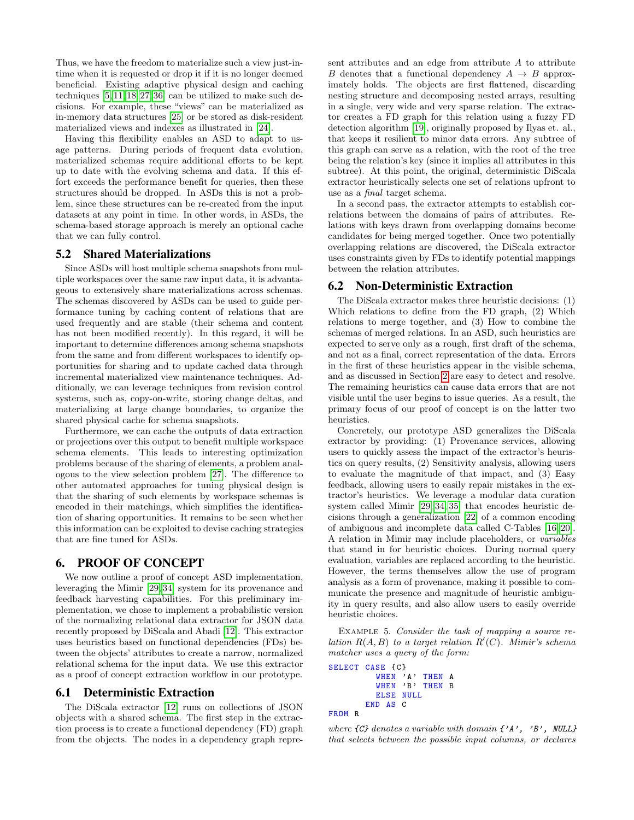Thus, we have the freedom to materialize such a view just-intime when it is requested or drop it if it is no longer deemed beneficial. Existing adaptive physical design and caching techniques [\[5,](#page-7-12) [11,](#page-7-13) [18,](#page-8-11) [27,](#page-8-12) [36\]](#page-8-13) can be utilized to make such decisions. For example, these "views" can be materialized as in-memory data structures [\[25\]](#page-8-10) or be stored as disk-resident materialized views and indexes as illustrated in [\[24\]](#page-8-6).

Having this flexibility enables an ASD to adapt to usage patterns. During periods of frequent data evolution, materialized schemas require additional efforts to be kept up to date with the evolving schema and data. If this effort exceeds the performance benefit for queries, then these structures should be dropped. In ASDs this is not a problem, since these structures can be re-created from the input datasets at any point in time. In other words, in ASDs, the schema-based storage approach is merely an optional cache that we can fully control.

#### 5.2 Shared Materializations

Since ASDs will host multiple schema snapshots from multiple workspaces over the same raw input data, it is advantageous to extensively share materializations across schemas. The schemas discovered by ASDs can be used to guide performance tuning by caching content of relations that are used frequently and are stable (their schema and content has not been modified recently). In this regard, it will be important to determine differences among schema snapshots from the same and from different workspaces to identify opportunities for sharing and to update cached data through incremental materialized view maintenance techniques. Additionally, we can leverage techniques from revision control systems, such as, copy-on-write, storing change deltas, and materializing at large change boundaries, to organize the shared physical cache for schema snapshots.

Furthermore, we can cache the outputs of data extraction or projections over this output to benefit multiple workspace schema elements. This leads to interesting optimization problems because of the sharing of elements, a problem analogous to the view selection problem [\[27\]](#page-8-12). The difference to other automated approaches for tuning physical design is that the sharing of such elements by workspace schemas is encoded in their matchings, which simplifies the identification of sharing opportunities. It remains to be seen whether this information can be exploited to devise caching strategies that are fine tuned for ASDs.

# <span id="page-5-0"></span>6. PROOF OF CONCEPT

We now outline a proof of concept ASD implementation, leveraging the Mimir [\[29,](#page-8-1) [34\]](#page-8-4) system for its provenance and feedback harvesting capabilities. For this preliminary implementation, we chose to implement a probabilistic version of the normalizing relational data extractor for JSON data recently proposed by DiScala and Abadi [\[12\]](#page-7-2). This extractor uses heuristics based on functional dependencies (FDs) between the objects' attributes to create a narrow, normalized relational schema for the input data. We use this extractor as a proof of concept extraction workflow in our prototype.

#### 6.1 Deterministic Extraction

The DiScala extractor [\[12\]](#page-7-2) runs on collections of JSON objects with a shared schema. The first step in the extraction process is to create a functional dependency (FD) graph from the objects. The nodes in a dependency graph represent attributes and an edge from attribute A to attribute B denotes that a functional dependency  $A \rightarrow B$  approximately holds. The objects are first flattened, discarding nesting structure and decomposing nested arrays, resulting in a single, very wide and very sparse relation. The extractor creates a FD graph for this relation using a fuzzy FD detection algorithm [\[19\]](#page-8-14), originally proposed by Ilyas et. al., that keeps it resilient to minor data errors. Any subtree of this graph can serve as a relation, with the root of the tree being the relation's key (since it implies all attributes in this subtree). At this point, the original, deterministic DiScala extractor heuristically selects one set of relations upfront to use as a final target schema.

In a second pass, the extractor attempts to establish correlations between the domains of pairs of attributes. Relations with keys drawn from overlapping domains become candidates for being merged together. Once two potentially overlapping relations are discovered, the DiScala extractor uses constraints given by FDs to identify potential mappings between the relation attributes.

#### 6.2 Non-Deterministic Extraction

The DiScala extractor makes three heuristic decisions: (1) Which relations to define from the FD graph, (2) Which relations to merge together, and (3) How to combine the schemas of merged relations. In an ASD, such heuristics are expected to serve only as a rough, first draft of the schema, and not as a final, correct representation of the data. Errors in the first of these heuristics appear in the visible schema, and as discussed in Section [2](#page-1-1) are easy to detect and resolve. The remaining heuristics can cause data errors that are not visible until the user begins to issue queries. As a result, the primary focus of our proof of concept is on the latter two heuristics.

Concretely, our prototype ASD generalizes the DiScala extractor by providing: (1) Provenance services, allowing users to quickly assess the impact of the extractor's heuristics on query results, (2) Sensitivity analysis, allowing users to evaluate the magnitude of that impact, and (3) Easy feedback, allowing users to easily repair mistakes in the extractor's heuristics. We leverage a modular data curation system called Mimir [\[29,](#page-8-1) [34,](#page-8-4) [35\]](#page-8-0) that encodes heuristic decisions through a generalization [\[22\]](#page-8-15) of a common encoding of ambiguous and incomplete data called C-Tables [\[16,](#page-7-1) [20\]](#page-8-16). A relation in Mimir may include placeholders, or variables that stand in for heuristic choices. During normal query evaluation, variables are replaced according to the heuristic. However, the terms themselves allow the use of program analysis as a form of provenance, making it possible to communicate the presence and magnitude of heuristic ambiguity in query results, and also allow users to easily override heuristic choices.

<span id="page-5-1"></span>EXAMPLE 5. Consider the task of mapping a source relation  $R(A, B)$  to a target relation  $R'(C)$ . Mimir's schema matcher uses a query of the form:

```
SELECT CASE {C}
         WHEN 'A' THEN A
         WHEN 'B' THEN B
         ELSE NULL
       END AS C
FROM R
```
where  $\{C\}$  denotes a variable with domain  $\{A', B', NULL\}$ that selects between the possible input columns, or declares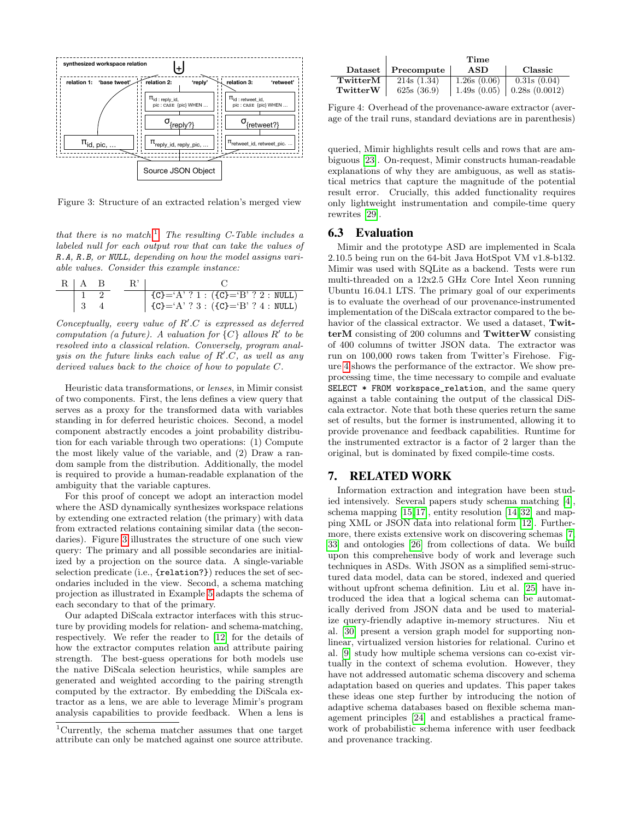<span id="page-6-1"></span>

Figure 3: Structure of an extracted relation's merged view

that there is no match.<sup>[1](#page-6-0)</sup> The resulting C-Table includes a labeled null for each output row that can take the values of R.A, R.B, or NULL, depending on how the model assigns variable values. Consider this example instance:

| $R \mid A \mid B$ | $R'$ . |                                                                                                                                                               |  |
|-------------------|--------|---------------------------------------------------------------------------------------------------------------------------------------------------------------|--|
|                   |        | $\begin{array}{ c c c c c c c c } \hline & \{C\} = 'A' ? 1 : (\{C\} = 'B' ? 2 : NULL) \hline & \{C\} = 'A' ? 3 : (\{C\} = 'B' ? 4 : NULL) \hline \end{array}$ |  |
| $\vert 3$         |        |                                                                                                                                                               |  |

Conceptually, every value of  $R'.C$  is expressed as deferred computation (a future). A valuation for  $\{C\}$  allows  $R'$  to be resolved into a classical relation. Conversely, program analysis on the future links each value of  $R'.C$ , as well as any derived values back to the choice of how to populate C.

Heuristic data transformations, or lenses, in Mimir consist of two components. First, the lens defines a view query that serves as a proxy for the transformed data with variables standing in for deferred heuristic choices. Second, a model component abstractly encodes a joint probability distribution for each variable through two operations: (1) Compute the most likely value of the variable, and (2) Draw a random sample from the distribution. Additionally, the model is required to provide a human-readable explanation of the ambiguity that the variable captures.

For this proof of concept we adopt an interaction model where the ASD dynamically synthesizes workspace relations by extending one extracted relation (the primary) with data from extracted relations containing similar data (the secondaries). Figure [3](#page-6-1) illustrates the structure of one such view query: The primary and all possible secondaries are initialized by a projection on the source data. A single-variable selection predicate (i.e., {relation?}) reduces the set of secondaries included in the view. Second, a schema matching projection as illustrated in Example [5](#page-5-1) adapts the schema of each secondary to that of the primary.

Our adapted DiScala extractor interfaces with this structure by providing models for relation- and schema-matching, respectively. We refer the reader to [\[12\]](#page-7-2) for the details of how the extractor computes relation and attribute pairing strength. The best-guess operations for both models use the native DiScala selection heuristics, while samples are generated and weighted according to the pairing strength computed by the extractor. By embedding the DiScala extractor as a lens, we are able to leverage Mimir's program analysis capabilities to provide feedback. When a lens is

<span id="page-6-2"></span>

|          | Time       |             |               |  |
|----------|------------|-------------|---------------|--|
| Dataset  | Precompute | ASD         | Classic       |  |
| TwitterM | 214s(1.34) | 1.26s(0.06) | 0.31s(0.04)   |  |
| TwitterW | 625s(36.9) | 1.49s(0.05) | 0.28s(0.0012) |  |

Figure 4: Overhead of the provenance-aware extractor (average of the trail runs, standard deviations are in parenthesis)

queried, Mimir highlights result cells and rows that are ambiguous [\[23\]](#page-8-7). On-request, Mimir constructs human-readable explanations of why they are ambiguous, as well as statistical metrics that capture the magnitude of the potential result error. Crucially, this added functionality requires only lightweight instrumentation and compile-time query rewrites [\[29\]](#page-8-1).

## 6.3 Evaluation

Mimir and the prototype ASD are implemented in Scala 2.10.5 being run on the 64-bit Java HotSpot VM v1.8-b132. Mimir was used with SQLite as a backend. Tests were run multi-threaded on a 12x2.5 GHz Core Intel Xeon running Ubuntu 16.04.1 LTS. The primary goal of our experiments is to evaluate the overhead of our provenance-instrumented implementation of the DiScala extractor compared to the behavior of the classical extractor. We used a dataset, TwitterM consisting of 200 columns and TwitterW consisting of 400 columns of twitter JSON data. The extractor was run on 100,000 rows taken from Twitter's Firehose. Figure [4](#page-6-2) shows the performance of the extractor. We show preprocessing time, the time necessary to compile and evaluate SELECT \* FROM workspace\_relation, and the same query against a table containing the output of the classical DiScala extractor. Note that both these queries return the same set of results, but the former is instrumented, allowing it to provide provenance and feedback capabilities. Runtime for the instrumented extractor is a factor of 2 larger than the original, but is dominated by fixed compile-time costs.

## 7. RELATED WORK

Information extraction and integration have been studied intensively. Several papers study schema matching [\[4\]](#page-7-6), schema mapping [\[15,](#page-7-5) [17\]](#page-8-9), entity resolution [\[14,](#page-7-4) [32\]](#page-8-17) and mapping XML or JSON data into relational form [\[12\]](#page-7-2). Furthermore, there exists extensive work on discovering schemas [\[7,](#page-7-8) [33\]](#page-8-8) and ontologies [\[26\]](#page-8-18) from collections of data. We build upon this comprehensive body of work and leverage such techniques in ASDs. With JSON as a simplified semi-structured data model, data can be stored, indexed and queried without upfront schema definition. Liu et al. [\[25\]](#page-8-10) have introduced the idea that a logical schema can be automatically derived from JSON data and be used to materialize query-friendly adaptive in-memory structures. Niu et al. [\[30\]](#page-8-5) present a version graph model for supporting nonlinear, virtualized version histories for relational. Curino et al. [\[9\]](#page-7-7) study how multiple schema versions can co-exist virtually in the context of schema evolution. However, they have not addressed automatic schema discovery and schema adaptation based on queries and updates. This paper takes these ideas one step further by introducing the notion of adaptive schema databases based on flexible schema management principles [\[24\]](#page-8-6) and establishes a practical framework of probabilistic schema inference with user feedback and provenance tracking.

<span id="page-6-0"></span><sup>1</sup>Currently, the schema matcher assumes that one target attribute can only be matched against one source attribute.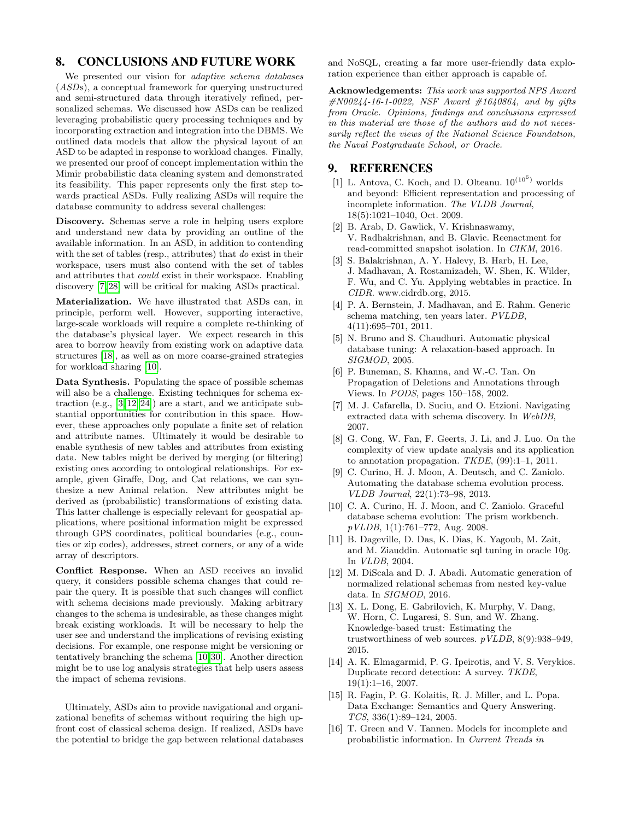# 8. CONCLUSIONS AND FUTURE WORK

We presented our vision for *adaptive schema databases* (ASDs), a conceptual framework for querying unstructured and semi-structured data through iteratively refined, personalized schemas. We discussed how ASDs can be realized leveraging probabilistic query processing techniques and by incorporating extraction and integration into the DBMS. We outlined data models that allow the physical layout of an ASD to be adapted in response to workload changes. Finally, we presented our proof of concept implementation within the Mimir probabilistic data cleaning system and demonstrated its feasibility. This paper represents only the first step towards practical ASDs. Fully realizing ASDs will require the database community to address several challenges:

Discovery. Schemas serve a role in helping users explore and understand new data by providing an outline of the available information. In an ASD, in addition to contending with the set of tables (resp., attributes) that do exist in their workspace, users must also contend with the set of tables and attributes that could exist in their workspace. Enabling discovery [\[7,](#page-7-8) [28\]](#page-8-19) will be critical for making ASDs practical.

Materialization. We have illustrated that ASDs can, in principle, perform well. However, supporting interactive, large-scale workloads will require a complete re-thinking of the database's physical layer. We expect research in this area to borrow heavily from existing work on adaptive data structures [\[18\]](#page-8-11), as well as on more coarse-grained strategies for workload sharing [\[10\]](#page-7-14).

Data Synthesis. Populating the space of possible schemas will also be a challenge. Existing techniques for schema extraction (e.g.,  $[3, 12, 24]$  $[3, 12, 24]$  $[3, 12, 24]$ ) are a start, and we anticipate substantial opportunities for contribution in this space. However, these approaches only populate a finite set of relation and attribute names. Ultimately it would be desirable to enable synthesis of new tables and attributes from existing data. New tables might be derived by merging (or filtering) existing ones according to ontological relationships. For example, given Giraffe, Dog, and Cat relations, we can synthesize a new Animal relation. New attributes might be derived as (probabilistic) transformations of existing data. This latter challenge is especially relevant for geospatial applications, where positional information might be expressed through GPS coordinates, political boundaries (e.g., counties or zip codes), addresses, street corners, or any of a wide array of descriptors.

Conflict Response. When an ASD receives an invalid query, it considers possible schema changes that could repair the query. It is possible that such changes will conflict with schema decisions made previously. Making arbitrary changes to the schema is undesirable, as these changes might break existing workloads. It will be necessary to help the user see and understand the implications of revising existing decisions. For example, one response might be versioning or tentatively branching the schema [\[10,](#page-7-14)[30\]](#page-8-5). Another direction might be to use log analysis strategies that help users assess the impact of schema revisions.

Ultimately, ASDs aim to provide navigational and organizational benefits of schemas without requiring the high upfront cost of classical schema design. If realized, ASDs have the potential to bridge the gap between relational databases

and NoSQL, creating a far more user-friendly data exploration experience than either approach is capable of.

Acknowledgements: This work was supported NPS Award  $#N00244-16-1-0022$ , NSF Award  $#1640864$ , and by gifts from Oracle. Opinions, findings and conclusions expressed in this material are those of the authors and do not necessarily reflect the views of the National Science Foundation, the Naval Postgraduate School, or Oracle.

## 9. REFERENCES

- <span id="page-7-9"></span> $[1]$ L. Antova, C. Koch, and D. Olteanu. $10^{(10^6)}$  worlds and beyond: Efficient representation and processing of incomplete information. The VLDB Journal, 18(5):1021–1040, Oct. 2009.
- <span id="page-7-0"></span>[2] B. Arab, D. Gawlick, V. Krishnaswamy, V. Radhakrishnan, and B. Glavic. Reenactment for read-committed snapshot isolation. In CIKM, 2016.
- <span id="page-7-15"></span>[3] S. Balakrishnan, A. Y. Halevy, B. Harb, H. Lee, J. Madhavan, A. Rostamizadeh, W. Shen, K. Wilder, F. Wu, and C. Yu. Applying webtables in practice. In CIDR. www.cidrdb.org, 2015.
- <span id="page-7-6"></span>[4] P. A. Bernstein, J. Madhavan, and E. Rahm. Generic schema matching, ten years later. PVLDB, 4(11):695–701, 2011.
- <span id="page-7-12"></span>[5] N. Bruno and S. Chaudhuri. Automatic physical database tuning: A relaxation-based approach. In SIGMOD, 2005.
- <span id="page-7-10"></span>[6] P. Buneman, S. Khanna, and W.-C. Tan. On Propagation of Deletions and Annotations through Views. In PODS, pages 150–158, 2002.
- <span id="page-7-8"></span>[7] M. J. Cafarella, D. Suciu, and O. Etzioni. Navigating extracted data with schema discovery. In WebDB, 2007.
- <span id="page-7-11"></span>[8] G. Cong, W. Fan, F. Geerts, J. Li, and J. Luo. On the complexity of view update analysis and its application to annotation propagation. TKDE, (99):1–1, 2011.
- <span id="page-7-7"></span>[9] C. Curino, H. J. Moon, A. Deutsch, and C. Zaniolo. Automating the database schema evolution process. VLDB Journal, 22(1):73–98, 2013.
- <span id="page-7-14"></span>[10] C. A. Curino, H. J. Moon, and C. Zaniolo. Graceful database schema evolution: The prism workbench. pVLDB, 1(1):761–772, Aug. 2008.
- <span id="page-7-13"></span>[11] B. Dageville, D. Das, K. Dias, K. Yagoub, M. Zait, and M. Ziauddin. Automatic sql tuning in oracle 10g. In VLDB, 2004.
- <span id="page-7-2"></span>[12] M. DiScala and D. J. Abadi. Automatic generation of normalized relational schemas from nested key-value data. In SIGMOD, 2016.
- <span id="page-7-3"></span>[13] X. L. Dong, E. Gabrilovich, K. Murphy, V. Dang, W. Horn, C. Lugaresi, S. Sun, and W. Zhang. Knowledge-based trust: Estimating the trustworthiness of web sources.  $p$  VLDB, 8(9):938–949, 2015.
- <span id="page-7-4"></span>[14] A. K. Elmagarmid, P. G. Ipeirotis, and V. S. Verykios. Duplicate record detection: A survey. TKDE, 19(1):1–16, 2007.
- <span id="page-7-5"></span>[15] R. Fagin, P. G. Kolaitis, R. J. Miller, and L. Popa. Data Exchange: Semantics and Query Answering. TCS, 336(1):89–124, 2005.
- <span id="page-7-1"></span>[16] T. Green and V. Tannen. Models for incomplete and probabilistic information. In Current Trends in